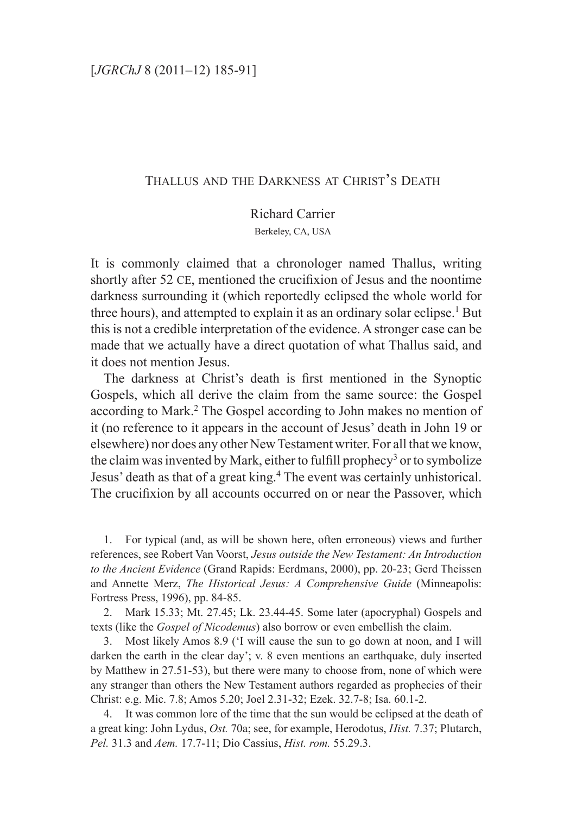## Thallus and the Darkness at Christ's Death

### Richard Carrier

Berkeley, CA, USA

It is commonly claimed that a chronologer named Thallus, writing shortly after 52 CE, mentioned the crucifixion of Jesus and the noontime darkness surrounding it (which reportedly eclipsed the whole world for three hours), and attempted to explain it as an ordinary solar eclipse.<sup>1</sup> But this is not a credible interpretation of the evidence. A stronger case can be made that we actually have a direct quotation of what Thallus said, and it does not mention Jesus.

The darkness at Christ's death is first mentioned in the Synoptic Gospels, which all derive the claim from the same source: the Gospel according to Mark.<sup>2</sup> The Gospel according to John makes no mention of it (no reference to it appears in the account of Jesus' death in John 19 or elsewhere) nor does any other New Testament writer. For all that we know, the claim was invented by Mark, either to fulfill prophecy<sup>3</sup> or to symbolize Jesus' death as that of a great king.<sup>4</sup> The event was certainly unhistorical. The crucifixion by all accounts occurred on or near the Passover, which

1. For typical (and, as will be shown here, often erroneous) views and further references, see Robert Van Voorst, *Jesus outside the New Testament: An Introduction to the Ancient Evidence* (Grand Rapids: Eerdmans, 2000), pp. 20-23; Gerd Theissen and Annette Merz, *The Historical Jesus: A Comprehensive Guide* (Minneapolis: Fortress Press, 1996), pp. 84-85.

2. Mark 15.33; Mt. 27.45; Lk. 23.44-45. Some later (apocryphal) Gospels and texts (like the *Gospel of Nicodemus*) also borrow or even embellish the claim.

3. Most likely Amos 8.9 ('I will cause the sun to go down at noon, and I will darken the earth in the clear day'; v. 8 even mentions an earthquake, duly inserted by Matthew in 27.51-53), but there were many to choose from, none of which were any stranger than others the New Testament authors regarded as prophecies of their Christ: e.g. Mic. 7.8; Amos 5.20; Joel 2.31-32; Ezek. 32.7-8; Isa. 60.1-2.

4. It was common lore of the time that the sun would be eclipsed at the death of a great king: John Lydus, *Ost.* 70a; see, for example, Herodotus, *Hist.* 7.37; Plutarch, *Pel.* 31.3 and *Aem.* 17.7-11; Dio Cassius, *Hist. rom.* 55.29.3.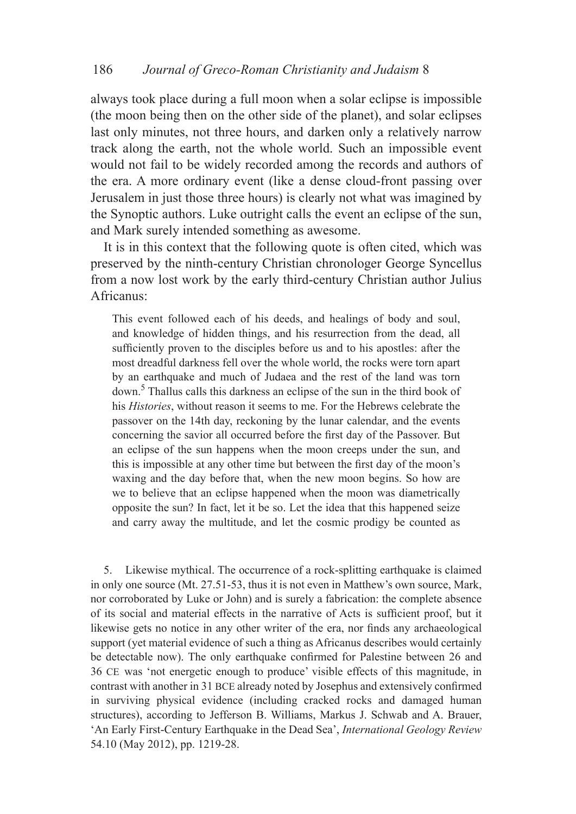always took place during a full moon when a solar eclipse is impossible (the moon being then on the other side of the planet), and solar eclipses last only minutes, not three hours, and darken only a relatively narrow track along the earth, not the whole world. Such an impossible event would not fail to be widely recorded among the records and authors of the era. A more ordinary event (like a dense cloud-front passing over Jerusalem in just those three hours) is clearly not what was imagined by the Synoptic authors. Luke outright calls the event an eclipse of the sun, and Mark surely intended something as awesome.

It is in this context that the following quote is often cited, which was preserved by the ninth-century Christian chronologer George Syncellus from a now lost work by the early third-century Christian author Julius Africanus:

This event followed each of his deeds, and healings of body and soul, and knowledge of hidden things, and his resurrection from the dead, all sufficiently proven to the disciples before us and to his apostles: after the most dreadful darkness fell over the whole world, the rocks were torn apart by an earthquake and much of Judaea and the rest of the land was torn down.<sup>5</sup> Thallus calls this darkness an eclipse of the sun in the third book of his *Histories*, without reason it seems to me. For the Hebrews celebrate the passover on the 14th day, reckoning by the lunar calendar, and the events concerning the savior all occurred before the first day of the Passover. But an eclipse of the sun happens when the moon creeps under the sun, and this is impossible at any other time but between the first day of the moon's waxing and the day before that, when the new moon begins. So how are we to believe that an eclipse happened when the moon was diametrically opposite the sun? In fact, let it be so. Let the idea that this happened seize and carry away the multitude, and let the cosmic prodigy be counted as

5. Likewise mythical. The occurrence of a rock-splitting earthquake is claimed in only one source (Mt. 27.51-53, thus it is not even in Matthew's own source, Mark, nor corroborated by Luke or John) and is surely a fabrication: the complete absence of its social and material effects in the narrative of Acts is sufficient proof, but it likewise gets no notice in any other writer of the era, nor finds any archaeological support (yet material evidence of such a thing as Africanus describes would certainly be detectable now). The only earthquake confirmed for Palestine between 26 and 36 ce was 'not energetic enough to produce' visible effects of this magnitude, in contrast with another in 31 bce already noted by Josephus and extensively confirmed in surviving physical evidence (including cracked rocks and damaged human structures), according to Jefferson B. Williams, Markus J. Schwab and A. Brauer, 'An Early First-Century Earthquake in the Dead Sea', *International Geology Review* 54.10 (May 2012), pp. 1219-28.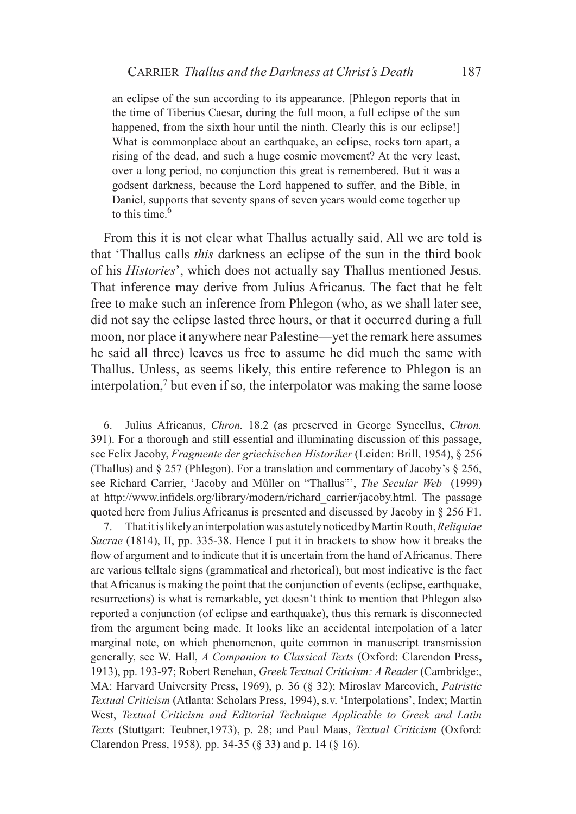an eclipse of the sun according to its appearance. [Phlegon reports that in the time of Tiberius Caesar, during the full moon, a full eclipse of the sun happened, from the sixth hour until the ninth. Clearly this is our eclipse! What is commonplace about an earthquake, an eclipse, rocks torn apart, a rising of the dead, and such a huge cosmic movement? At the very least, over a long period, no conjunction this great is remembered. But it was a godsent darkness, because the Lord happened to suffer, and the Bible, in Daniel, supports that seventy spans of seven years would come together up to this time. $6$ 

From this it is not clear what Thallus actually said. All we are told is that 'Thallus calls *this* darkness an eclipse of the sun in the third book of his *Histories*', which does not actually say Thallus mentioned Jesus. That inference may derive from Julius Africanus. The fact that he felt free to make such an inference from Phlegon (who, as we shall later see, did not say the eclipse lasted three hours, or that it occurred during a full moon, nor place it anywhere near Palestine—yet the remark here assumes he said all three) leaves us free to assume he did much the same with Thallus. Unless, as seems likely, this entire reference to Phlegon is an interpolation,<sup>7</sup> but even if so, the interpolator was making the same loose

6. Julius Africanus, *Chron.* 18.2 (as preserved in George Syncellus, *Chron.*  391). For a thorough and still essential and illuminating discussion of this passage, see Felix Jacoby, *Fragmente der griechischen Historiker* (Leiden: Brill, 1954), § 256 (Thallus) and § 257 (Phlegon). For a translation and commentary of Jacoby's § 256, see Richard Carrier, 'Jacoby and Müller on "Thallus"', *The Secular Web* (1999) at http://www.infidels.org/library/modern/richard\_carrier/jacoby.html. The passage quoted here from Julius Africanus is presented and discussed by Jacoby in § 256 F1.

7. That it is likely an interpolation was astutely noticed by Martin Routh, *Reliquiae Sacrae* (1814), II, pp. 335-38. Hence I put it in brackets to show how it breaks the flow of argument and to indicate that it is uncertain from the hand of Africanus. There are various telltale signs (grammatical and rhetorical), but most indicative is the fact that Africanus is making the point that the conjunction of events (eclipse, earthquake, resurrections) is what is remarkable, yet doesn't think to mention that Phlegon also reported a conjunction (of eclipse and earthquake), thus this remark is disconnected from the argument being made. It looks like an accidental interpolation of a later marginal note, on which phenomenon, quite common in manuscript transmission generally, see W. Hall, *A Companion to Classical Texts* (Oxford: Clarendon Press**,**  1913), pp. 193-97; Robert Renehan, *Greek Textual Criticism: A Reader* (Cambridge:, MA: Harvard University Press**,** 1969), p. 36 (§ 32); Miroslav Marcovich, *Patristic Textual Criticism* (Atlanta: Scholars Press, 1994), s.v. 'Interpolations', Index; Martin West, *Textual Criticism and Editorial Technique Applicable to Greek and Latin Texts* (Stuttgart: Teubner,1973), p. 28; and Paul Maas, *Textual Criticism* (Oxford: Clarendon Press, 1958), pp. 34-35 (§ 33) and p. 14 (§ 16).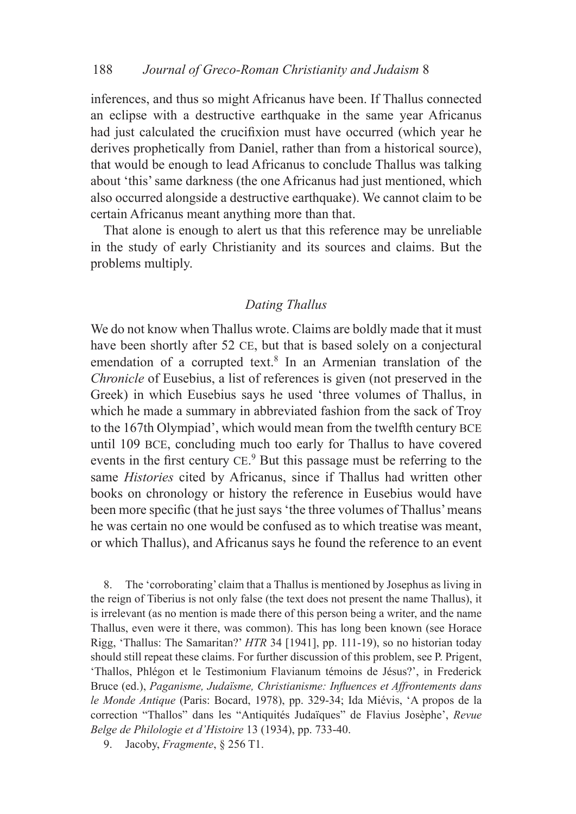inferences, and thus so might Africanus have been. If Thallus connected an eclipse with a destructive earthquake in the same year Africanus had just calculated the crucifixion must have occurred (which year he derives prophetically from Daniel, rather than from a historical source), that would be enough to lead Africanus to conclude Thallus was talking about 'this' same darkness (the one Africanus had just mentioned, which also occurred alongside a destructive earthquake). We cannot claim to be certain Africanus meant anything more than that.

That alone is enough to alert us that this reference may be unreliable in the study of early Christianity and its sources and claims. But the problems multiply.

# *Dating Thallus*

We do not know when Thallus wrote. Claims are boldly made that it must have been shortly after 52 CE, but that is based solely on a conjectural emendation of a corrupted text.<sup>8</sup> In an Armenian translation of the *Chronicle* of Eusebius, a list of references is given (not preserved in the Greek) in which Eusebius says he used 'three volumes of Thallus, in which he made a summary in abbreviated fashion from the sack of Troy to the 167th Olympiad', which would mean from the twelfth century bce until 109 bce, concluding much too early for Thallus to have covered events in the first century CE.<sup>9</sup> But this passage must be referring to the same *Histories* cited by Africanus, since if Thallus had written other books on chronology or history the reference in Eusebius would have been more specific (that he just says 'the three volumes of Thallus' means he was certain no one would be confused as to which treatise was meant, or which Thallus), and Africanus says he found the reference to an event

8. The 'corroborating' claim that a Thallus is mentioned by Josephus as living in the reign of Tiberius is not only false (the text does not present the name Thallus), it is irrelevant (as no mention is made there of this person being a writer, and the name Thallus, even were it there, was common). This has long been known (see Horace Rigg, 'Thallus: The Samaritan?' *HTR* 34 [1941], pp. 111-19), so no historian today should still repeat these claims. For further discussion of this problem, see P. Prigent, 'Thallos, Phlégon et le Testimonium Flavianum témoins de Jésus?', in Frederick Bruce (ed.), *Paganisme, Judaïsme, Christianisme: Influences et Affrontements dans le Monde Antique* (Paris: Bocard, 1978), pp. 329-34; Ida Miévis, 'A propos de la correction "Thallos" dans les "Antiquités Judaïques" de Flavius Josèphe', *Revue Belge de Philologie et d'Histoire* 13 (1934), pp. 733-40.

9. Jacoby, *Fragmente*, § 256 T1.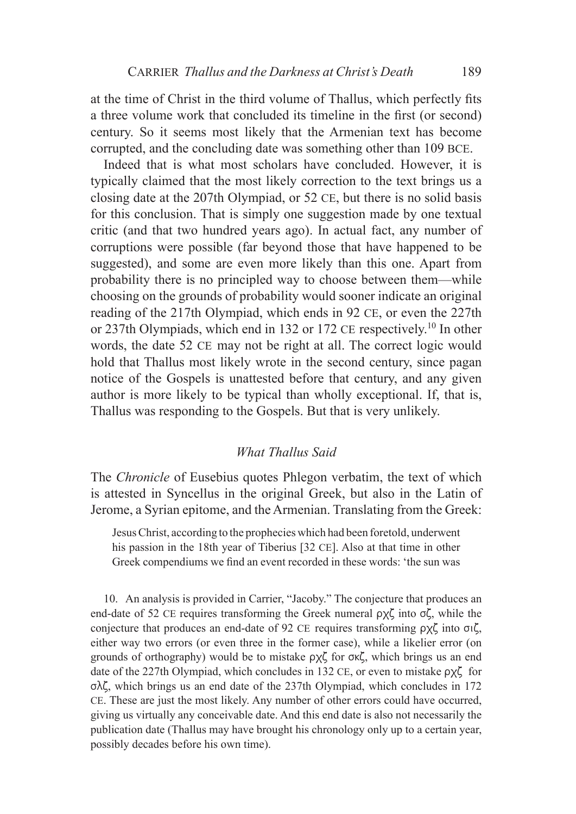at the time of Christ in the third volume of Thallus, which perfectly fits a three volume work that concluded its timeline in the first (or second) century. So it seems most likely that the Armenian text has become corrupted, and the concluding date was something other than 109 bce.

Indeed that is what most scholars have concluded. However, it is typically claimed that the most likely correction to the text brings us a closing date at the 207th Olympiad, or 52 ce, but there is no solid basis for this conclusion. That is simply one suggestion made by one textual critic (and that two hundred years ago). In actual fact, any number of corruptions were possible (far beyond those that have happened to be suggested), and some are even more likely than this one. Apart from probability there is no principled way to choose between them—while choosing on the grounds of probability would sooner indicate an original reading of the 217th Olympiad, which ends in 92 CE, or even the 227th or 237th Olympiads, which end in 132 or 172 CE respectively.<sup>10</sup> In other words, the date 52 CE may not be right at all. The correct logic would hold that Thallus most likely wrote in the second century, since pagan notice of the Gospels is unattested before that century, and any given author is more likely to be typical than wholly exceptional. If, that is, Thallus was responding to the Gospels. But that is very unlikely.

#### *What Thallus Said*

The *Chronicle* of Eusebius quotes Phlegon verbatim, the text of which is attested in Syncellus in the original Greek, but also in the Latin of Jerome, a Syrian epitome, and the Armenian. Translating from the Greek:

Jesus Christ, according to the prophecies which had been foretold, underwent his passion in the 18th year of Tiberius [32 ce]. Also at that time in other Greek compendiums we find an event recorded in these words: 'the sun was

10. An analysis is provided in Carrier, "Jacoby." The conjecture that produces an end-date of 52 CE requires transforming the Greek numeral  $\rho\chi\zeta$  into  $\sigma\zeta$ , while the conjecture that produces an end-date of 92 CE requires transforming  $\rho\chi\zeta$  into  $\sigma\zeta$ , either way two errors (or even three in the former case), while a likelier error (on grounds of orthography) would be to mistake  $\rho \chi \zeta$  for  $\sigma \kappa \zeta$ , which brings us an end date of the 227th Olympiad, which concludes in 132 CE, or even to mistake  $\rho \chi \zeta$  for  $\sigma\lambda\zeta$ , which brings us an end date of the 237th Olympiad, which concludes in 172 ce. These are just the most likely. Any number of other errors could have occurred, giving us virtually any conceivable date. And this end date is also not necessarily the publication date (Thallus may have brought his chronology only up to a certain year, possibly decades before his own time).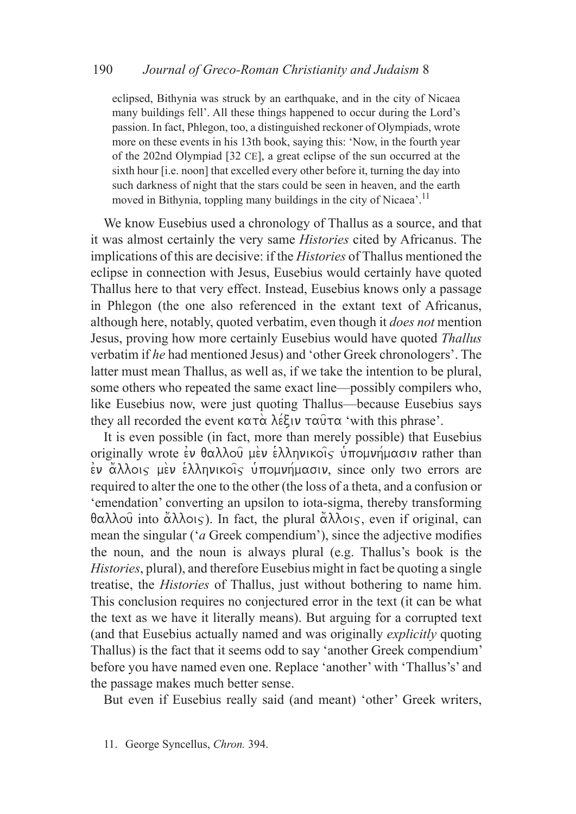### 190 *Journal of Greco-Roman Christianity and Judaism* 8

eclipsed, Bithynia was struck by an earthquake, and in the city of Nicaea many buildings fell'. All these things happened to occur during the Lord's passion. In fact, Phlegon, too, a distinguished reckoner of Olympiads, wrote more on these events in his 13th book, saying this: 'Now, in the fourth year of the 202nd Olympiad [32 ce], a great eclipse of the sun occurred at the sixth hour [i.e. noon] that excelled every other before it, turning the day into such darkness of night that the stars could be seen in heaven, and the earth moved in Bithynia, toppling many buildings in the city of Nicaea'.<sup>11</sup>

We know Eusebius used a chronology of Thallus as a source, and that it was almost certainly the very same *Histories* cited by Africanus. The implications of this are decisive: if the *Histories* of Thallus mentioned the eclipse in connection with Jesus, Eusebius would certainly have quoted Thallus here to that very effect. Instead, Eusebius knows only a passage in Phlegon (the one also referenced in the extant text of Africanus, although here, notably, quoted verbatim, even though it *does not* mention Jesus, proving how more certainly Eusebius would have quoted *Thallus* verbatim if *he* had mentioned Jesus) and 'other Greek chronologers'. The latter must mean Thallus, as well as, if we take the intention to be plural, some others who repeated the same exact line—possibly compilers who, like Eusebius now, were just quoting Thallus—because Eusebius says they all recorded the event  $\kappa \alpha \tau \alpha \lambda \epsilon \xi \nu \tau \alpha \hat{\nu} \tau \alpha$  'with this phrase'.

It is even possible (in fact, more than merely possible) that Eusebius originally wrote εν θαλλού μεν ελληνικοίς υπομνήμασιν rather than  $\frac{2}{3}$ εν άλλοις μεν ελληνικοίς υπομνήμασιν, since only two errors are required to alter the one to the other (the loss of a theta, and a confusion or 'emendation' converting an upsilon to iota-sigma, thereby transforming  $\theta$ αλλοῦ into ἄλλοις). In fact, the plural ἄλλοις, even if original, can mean the singular ('*a* Greek compendium'), since the adjective modifies the noun, and the noun is always plural (e.g. Thallus's book is the *Histories*, plural), and therefore Eusebius might in fact be quoting a single treatise, the *Histories* of Thallus, just without bothering to name him. This conclusion requires no conjectured error in the text (it can be what the text as we have it literally means). But arguing for a corrupted text (and that Eusebius actually named and was originally *explicitly* quoting Thallus) is the fact that it seems odd to say 'another Greek compendium' before you have named even one. Replace 'another' with 'Thallus's' and the passage makes much better sense.

But even if Eusebius really said (and meant) 'other' Greek writers,